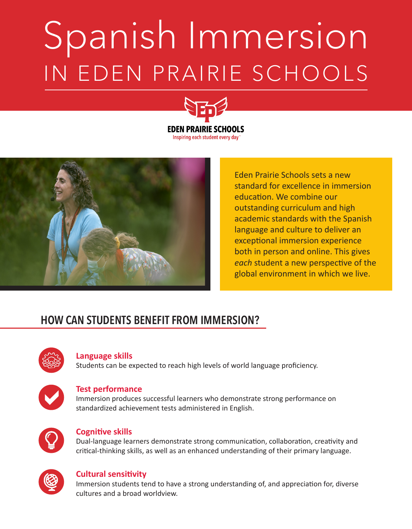# Spanish Immersion IN EDEN PRAIRIE SCHOOLS





Eden Prairie Schools sets a new standard for excellence in immersion education. We combine our outstanding curriculum and high academic standards with the Spanish language and culture to deliver an exceptional immersion experience both in person and online. This gives *each* student a new perspective of the global environment in which we live.

# **HOW CAN STUDENTS BENEFIT FROM IMMERSION?**



#### **Language skills**

Students can be expected to reach high levels of world language proficiency.



#### **Test performance**

Immersion produces successful learners who demonstrate strong performance on standardized achievement tests administered in English.



#### **Cognitive skills**

Dual-language learners demonstrate strong communication, collaboration, creativity and critical-thinking skills, as well as an enhanced understanding of their primary language.



#### **Cultural sensitivity**

Immersion students tend to have a strong understanding of, and appreciation for, diverse cultures and a broad worldview.